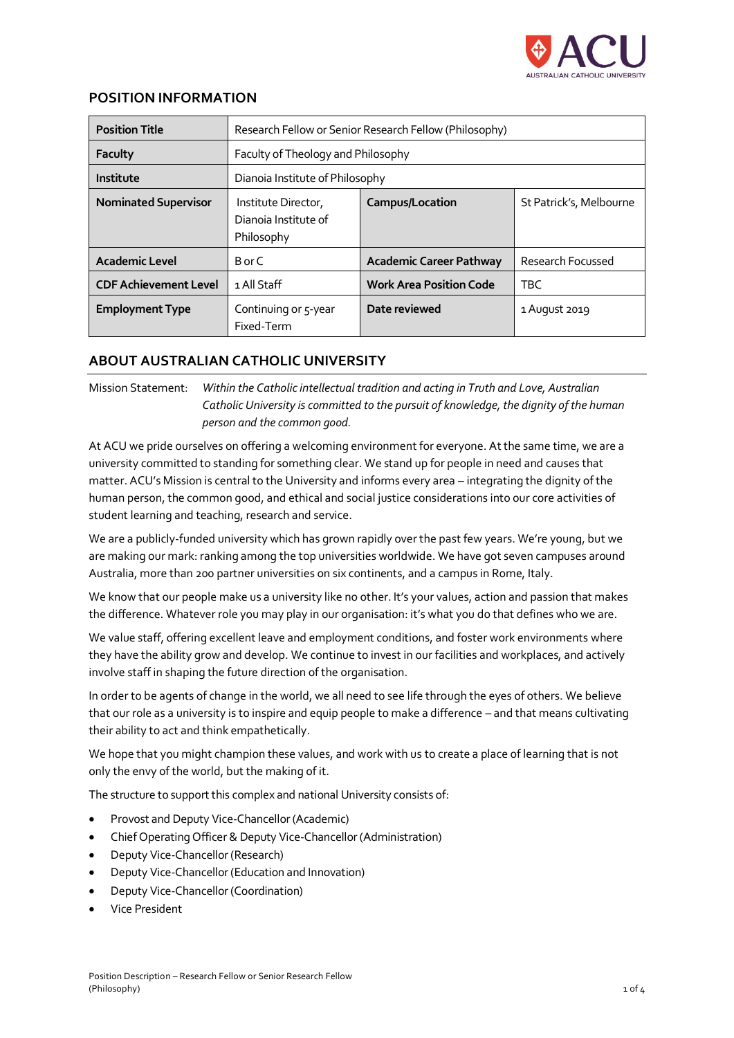

## **POSITION INFORMATION**

| <b>Position Title</b>        |                                                           | Research Fellow or Senior Research Fellow (Philosophy) |                         |
|------------------------------|-----------------------------------------------------------|--------------------------------------------------------|-------------------------|
| Faculty                      | Faculty of Theology and Philosophy                        |                                                        |                         |
| Institute                    | Dianoia Institute of Philosophy                           |                                                        |                         |
| <b>Nominated Supervisor</b>  | Institute Director,<br>Dianoia Institute of<br>Philosophy | Campus/Location                                        | St Patrick's, Melbourne |
| <b>Academic Level</b>        | B or C                                                    | Academic Career Pathway                                | Research Focussed       |
| <b>CDF Achievement Level</b> | 1 All Staff                                               | <b>Work Area Position Code</b>                         | <b>TBC</b>              |
| <b>Employment Type</b>       | Continuing or 5-year<br>Fixed-Term                        | Date reviewed                                          | 1 August 2019           |

# **ABOUT AUSTRALIAN CATHOLIC UNIVERSITY**

Mission Statement: *Within the Catholic intellectual tradition and acting in Truth and Love, Australian Catholic University is committed to the pursuit of knowledge, the dignity of the human person and the common good.*

At ACU we pride ourselves on offering a welcoming environment for everyone. At the same time, we are a university committed to standing for something clear. We stand up for people in need and causes that matter. ACU's Mission is central to the University and informs every area – integrating the dignity of the human person, the common good, and ethical and social justice considerations into our core activities of student learning and teaching, research and service.

We are a publicly-funded university which has grown rapidly over the past few years. We're young, but we are making our mark: ranking among the top universities worldwide. We have got seven campuses around Australia, more than 200 partner universities on six continents, and a campus in Rome, Italy.

We know that our people make us a university like no other. It's your values, action and passion that makes the difference. Whatever role you may play in our organisation: it's what you do that defines who we are.

We value staff, offering excellent leave and employment conditions, and foster work environments where they have the ability grow and develop. We continue to invest in our facilities and workplaces, and actively involve staff in shaping the future direction of the organisation.

In order to be agents of change in the world, we all need to see life through the eyes of others. We believe that our role as a university is to inspire and equip people to make a difference – and that means cultivating their ability to act and think empathetically.

We hope that you might champion these values, and work with us to create a place of learning that is not only the envy of the world, but the making of it.

The structure to support this complex and national University consists of:

- Provost and Deputy Vice-Chancellor (Academic)
- Chief Operating Officer & Deputy Vice-Chancellor (Administration)
- Deputy Vice-Chancellor (Research)
- Deputy Vice-Chancellor (Education and Innovation)
- Deputy Vice-Chancellor (Coordination)
- Vice President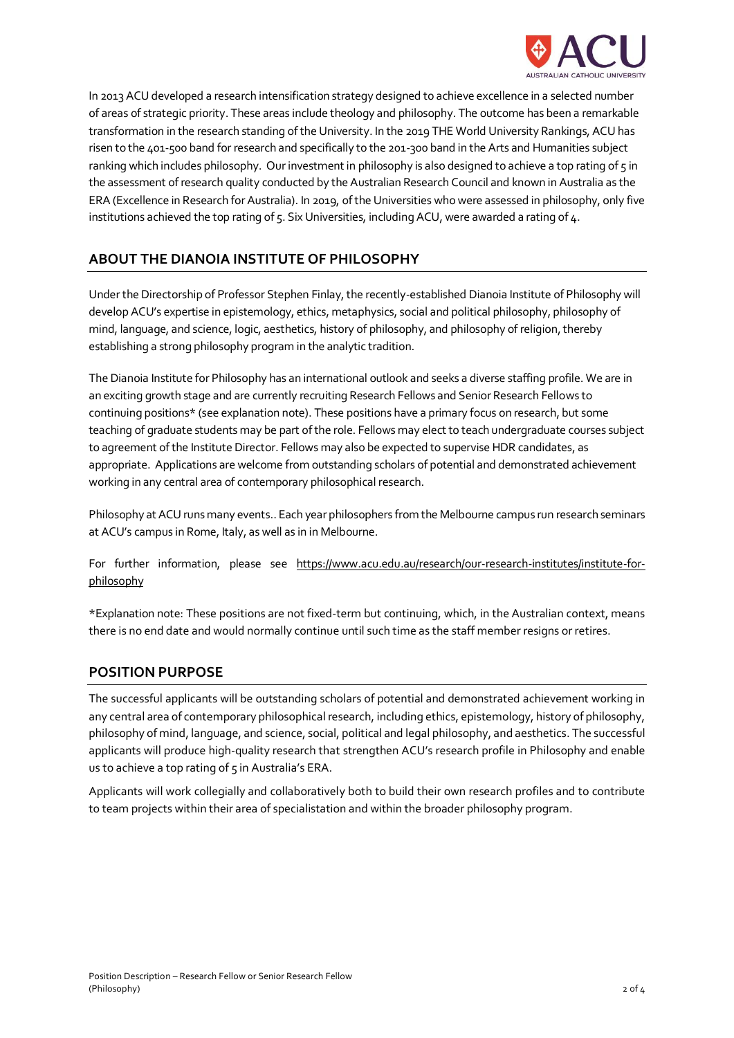

In 2013 ACU developed a research intensification strategy designed to achieve excellence in a selected number of areas of strategic priority. These areas include theology and philosophy. The outcome has been a remarkable transformation in the research standing of the University. In the 2019 THE World University Rankings, ACU has risen to the 401-500 band for research and specifically to the 201-300 band in the Arts and Humanities subject ranking which includes philosophy. Our investment in philosophy is also designed to achieve a top rating of 5 in the assessment of research quality conducted by the Australian Research Council and known in Australia as the ERA (Excellence in Research for Australia). In 2019, of the Universities who were assessed in philosophy, only five institutions achieved the top rating of 5. Six Universities, including ACU, were awarded a rating of 4.

# **ABOUT THE DIANOIA INSTITUTE OF PHILOSOPHY**

Under the Directorship of Professor Stephen Finlay, the recently-established Dianoia Institute of Philosophy will develop ACU's expertise in epistemology, ethics, metaphysics, social and political philosophy, philosophy of mind, language, and science, logic, aesthetics, history of philosophy, and philosophy of religion, thereby establishing a strong philosophy program in the analytic tradition.

The Dianoia Institute for Philosophy has an international outlook and seeks a diverse staffing profile. We are in an exciting growth stage and are currently recruiting Research Fellows and Senior Research Fellows to continuing positions\* (see explanation note). These positions have a primary focus on research, but some teaching of graduate students may be part of the role. Fellows may elect to teach undergraduate courses subject to agreement of the Institute Director. Fellows may also be expected to supervise HDR candidates, as appropriate. Applications are welcome from outstanding scholars of potential and demonstrated achievement working in any central area of contemporary philosophical research.

Philosophy at ACU runs many events.. Each year philosophers from the Melbourne campus run research seminars at ACU's campus in Rome, Italy, as well as in in Melbourne.

For further information, please see https://www.acu.edu.au/research/our-research-institutes/institute-forphilosophy

\*Explanation note: These positions are not fixed-term but continuing, which, in the Australian context, means there is no end date and would normally continue until such time as the staff member resigns or retires.

## **POSITION PURPOSE**

The successful applicants will be outstanding scholars of potential and demonstrated achievement working in any central area of contemporary philosophical research, including ethics, epistemology, history of philosophy, philosophy of mind, language, and science, social, political and legal philosophy, and aesthetics. The successful applicants will produce high-quality research that strengthen ACU's research profile in Philosophy and enable us to achieve a top rating of 5 in Australia's ERA.

Applicants will work collegially and collaboratively both to build their own research profiles and to contribute to team projects within their area of specialistation and within the broader philosophy program.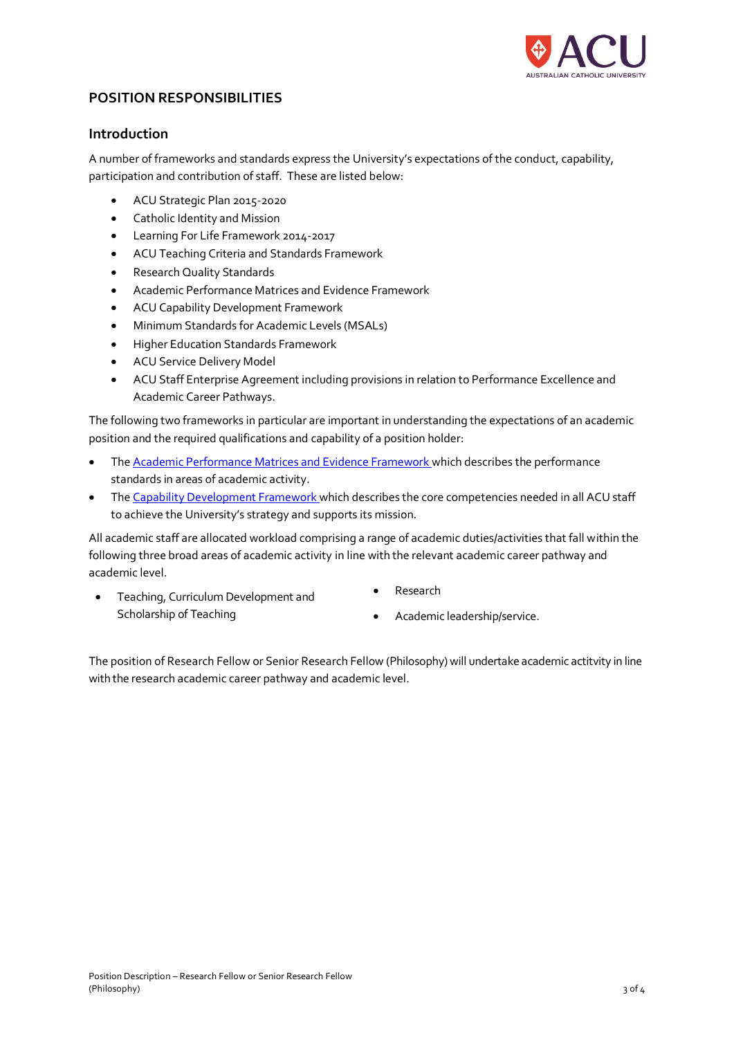

## **POSITION RESPONSIBILITIES**

## **Introduction**

A number of frameworks and standards express the University's expectations of the conduct, capability, participation and contribution of staff. These are listed below:

- ACU Strategic Plan 2015-2020
- Catholic Identity and Mission
- Learning For Life Framework 2014-2017
- ACU Teaching Criteria and Standards Framework
- Research Quality Standards
- Academic Performance Matrices and Evidence Framework
- ACU Capability Development Framework
- Minimum Standards for Academic Levels (MSALs)
- Higher Education Standards Framework
- ACU Service Delivery Model
- ACU Staff Enterprise Agreement including provisions in relation to Performance Excellence and Academic Career Pathways.

The following two frameworks in particular are important in understanding the expectations of an academic position and the required qualifications and capability of a position holder:

- The [Academic Performance Matrices and Evidence Framework](http://www.acu.edu.au/apme) which describes the performance standards in areas of academic activity.
- The [Capability Development Framework](http://www.acu.edu.au/cdf) which describes the core competencies needed in all ACU staff to achieve the University's strategy and supports its mission.

All academic staff are allocated workload comprising a range of academic duties/activities that fall within the following three broad areas of academic activity in line with the relevant academic career pathway and academic level.

- Teaching, Curriculum Development and Scholarship of Teaching
- Research
- Academic leadership/service.

The position of Research Fellow or Senior Research Fellow (Philosophy) will undertake academic actitvity in line with the research academic career pathway and academic level.